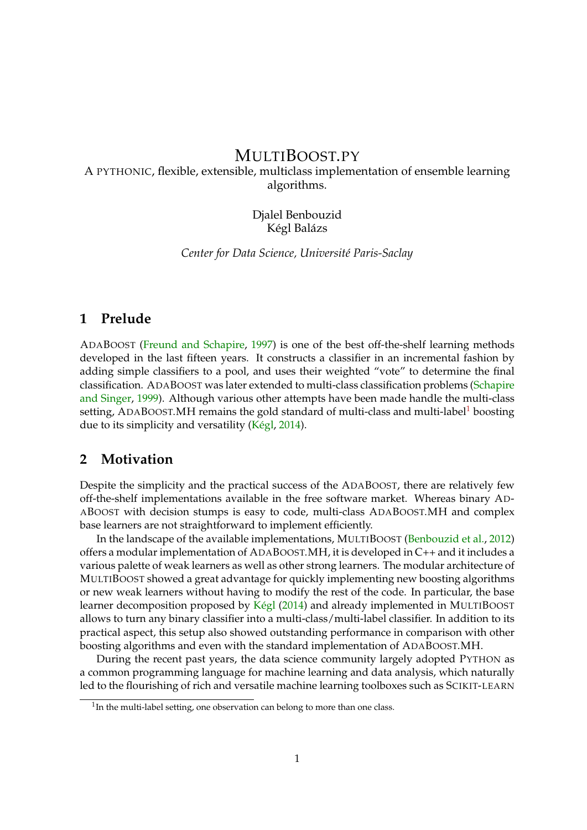# MULTIBOOST.PY

### A PYTHONIC, flexible, extensible, multiclass implementation of ensemble learning algorithms.

#### Djalel Benbouzid Kégl Balázs

*Center for Data Science, Université Paris-Saclay*

### **1 Prelude**

ADABOOST [\(Freund and Schapire,](#page-3-0) [1997\)](#page-3-0) is one of the best off-the-shelf learning methods developed in the last fifteen years. It constructs a classifier in an incremental fashion by adding simple classifiers to a pool, and uses their weighted "vote" to determine the final classification. ADABOOST was later extended to multi-class classification problems [\(Schapire](#page-3-1) [and Singer,](#page-3-1) [1999\)](#page-3-1). Although various other attempts have been made handle the multi-class setting, ADABOOST. MH remains the gold standard of multi-class and multi-label boosting due to its simplicity and versatility [\(Kégl,](#page-3-2) [2014\)](#page-3-2).

### **2 Motivation**

Despite the simplicity and the practical success of the ADABOOST, there are relatively few off-the-shelf implementations available in the free software market. Whereas binary AD-ABOOST with decision stumps is easy to code, multi-class ADABOOST.MH and complex base learners are not straightforward to implement efficiently.

In the landscape of the available implementations, MULTIBOOST [\(Benbouzid et al.,](#page-3-3) [2012\)](#page-3-3) offers a modular implementation of ADABOOST.MH, it is developed in C++ and it includes a various palette of weak learners as well as other strong learners. The modular architecture of MULTIBOOST showed a great advantage for quickly implementing new boosting algorithms or new weak learners without having to modify the rest of the code. In particular, the base learner decomposition proposed by [Kégl](#page-3-2) [\(2014\)](#page-3-2) and already implemented in MULTIBOOST allows to turn any binary classifier into a multi-class/multi-label classifier. In addition to its practical aspect, this setup also showed outstanding performance in comparison with other boosting algorithms and even with the standard implementation of ADABOOST.MH.

During the recent past years, the data science community largely adopted PYTHON as a common programming language for machine learning and data analysis, which naturally led to the flourishing of rich and versatile machine learning toolboxes such as SCIKIT-LEARN

<span id="page-0-0"></span> $1$ In the multi-label setting, one observation can belong to more than one class.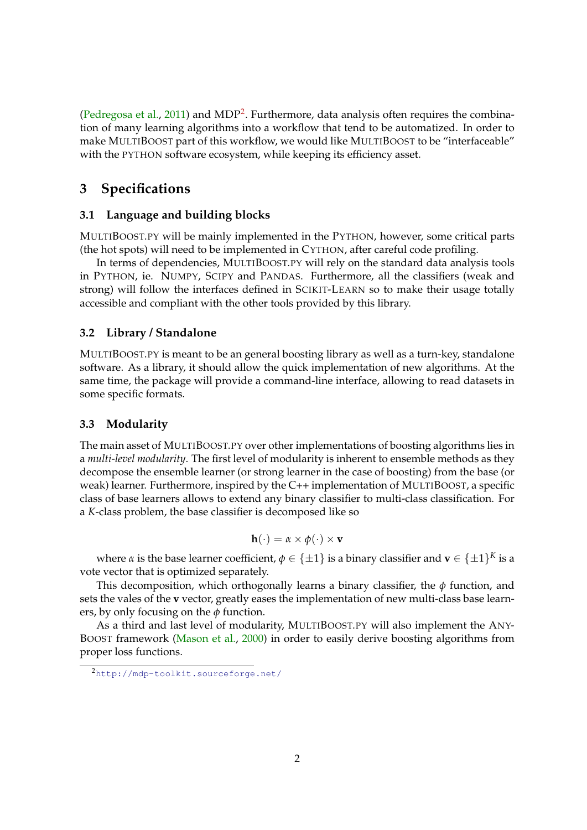[\(Pedregosa et al.,](#page-3-4) [2011\)](#page-3-4) and MDP<sup>[2](#page-1-0)</sup>. Furthermore, data analysis often requires the combination of many learning algorithms into a workflow that tend to be automatized. In order to make MULTIBOOST part of this workflow, we would like MULTIBOOST to be "interfaceable" with the PYTHON software ecosystem, while keeping its efficiency asset.

# **3 Specifications**

#### **3.1 Language and building blocks**

MULTIBOOST.PY will be mainly implemented in the PYTHON, however, some critical parts (the hot spots) will need to be implemented in CYTHON, after careful code profiling.

In terms of dependencies, MULTIBOOST.PY will rely on the standard data analysis tools in PYTHON, ie. NUMPY, SCIPY and PANDAS. Furthermore, all the classifiers (weak and strong) will follow the interfaces defined in SCIKIT-LEARN so to make their usage totally accessible and compliant with the other tools provided by this library.

### **3.2 Library / Standalone**

MULTIBOOST.PY is meant to be an general boosting library as well as a turn-key, standalone software. As a library, it should allow the quick implementation of new algorithms. At the same time, the package will provide a command-line interface, allowing to read datasets in some specific formats.

#### **3.3 Modularity**

The main asset of MULTIBOOST.PY over other implementations of boosting algorithms lies in a *multi-level modularity*. The first level of modularity is inherent to ensemble methods as they decompose the ensemble learner (or strong learner in the case of boosting) from the base (or weak) learner. Furthermore, inspired by the C++ implementation of MULTIBOOST, a specific class of base learners allows to extend any binary classifier to multi-class classification. For a *K*-class problem, the base classifier is decomposed like so

$$
\mathbf{h}(\cdot) = \alpha \times \phi(\cdot) \times \mathbf{v}
$$

where  $\alpha$  is the base learner coefficient,  $\phi \in \{\pm 1\}$  is a binary classifier and  $\mathbf{v} \in \{\pm 1\}^K$  is a vote vector that is optimized separately.

This decomposition, which orthogonally learns a binary classifier, the *φ* function, and sets the vales of the **v** vector, greatly eases the implementation of new multi-class base learners, by only focusing on the *φ* function.

As a third and last level of modularity, MULTIBOOST.PY will also implement the ANY-BOOST framework [\(Mason et al.,](#page-3-5) [2000\)](#page-3-5) in order to easily derive boosting algorithms from proper loss functions.

<span id="page-1-0"></span><sup>2</sup><http://mdp-toolkit.sourceforge.net/>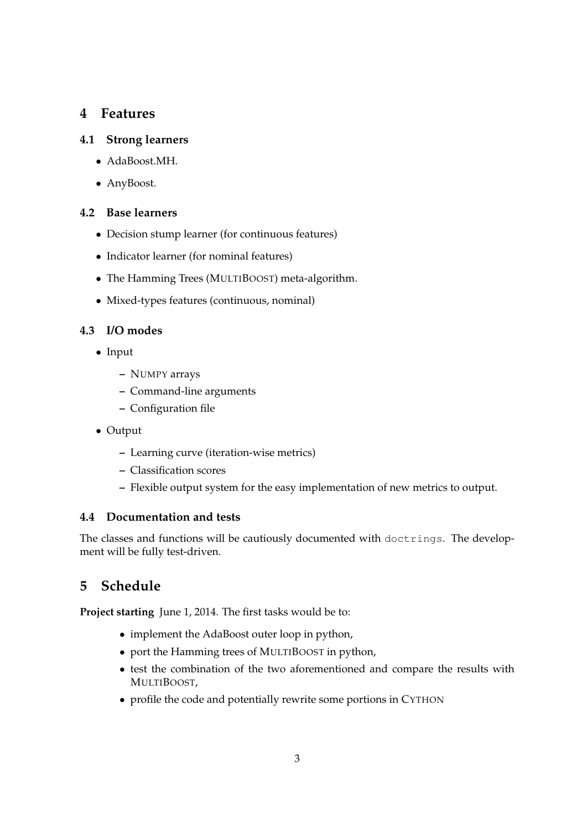# **4 Features**

### **4.1 Strong learners**

- AdaBoost.MH.
- AnyBoost.

### **4.2 Base learners**

- Decision stump learner (for continuous features)
- Indicator learner (for nominal features)
- The Hamming Trees (MULTIBOOST) meta-algorithm.
- Mixed-types features (continuous, nominal)

### **4.3 I/O modes**

- Input
	- **–** NUMPY arrays
	- **–** Command-line arguments
	- **–** Configuration file
- Output
	- **–** Learning curve (iteration-wise metrics)
	- **–** Classification scores
	- **–** Flexible output system for the easy implementation of new metrics to output.

### **4.4 Documentation and tests**

The classes and functions will be cautiously documented with doctrings. The development will be fully test-driven.

# **5 Schedule**

**Project starting** June 1, 2014. The first tasks would be to:

- implement the AdaBoost outer loop in python,
- port the Hamming trees of MULTIBOOST in python,
- test the combination of the two aforementioned and compare the results with MULTIBOOST,
- profile the code and potentially rewrite some portions in CYTHON